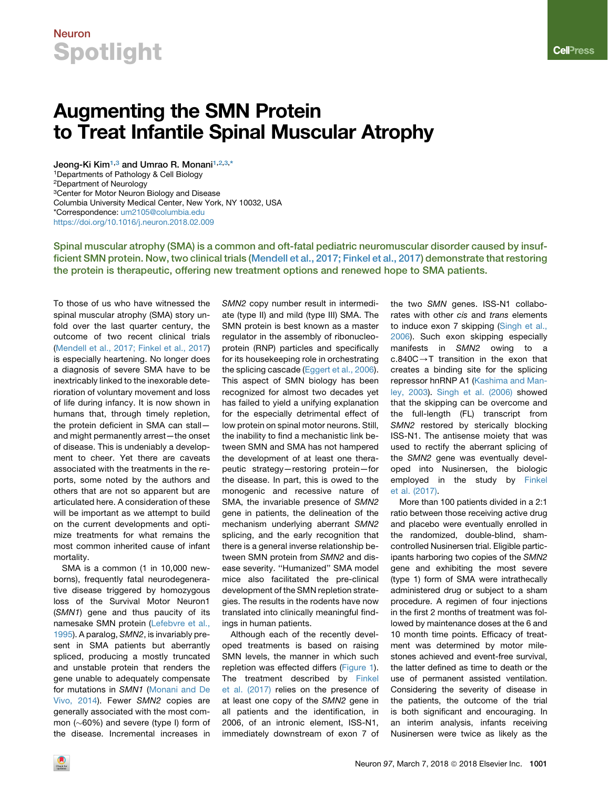### Neuron Spotlight

# to Treat Infantile Spinal Musc to Treat Infantile Spinal Muscular Atrophy

<span id="page-0-2"></span><span id="page-0-1"></span><span id="page-0-0"></span>Jeong-Ki Kim<sup>[1,](#page-0-0)[3](#page-0-1)</sup> and Umrao R. Monani<sup>[1](#page-0-0),[2,](#page-0-2)3,[\\*](#page-0-3)</sup> 1Departments of Pathology & Cell Biology 2Department of Neurology 3Center for Motor Neuron Biology and Disease Columbia University Medical Center, New York, NY 10032, USA \*Correspondence: [um2105@columbia.edu](mailto:um2105@columbia.edu) <https://doi.org/10.1016/j.neuron.2018.02.009>

<span id="page-0-3"></span>Spinal muscular atrophy (SMA) is a common and oft-fatal pediatric neuromuscular disorder caused by insufficient SMN protein. Now, two clinical trials [\(Mendell et al., 2017; Finkel et al., 2017\)](#page-2-0) demonstrate that restoring the protein is therapeutic, offering new treatment options and renewed hope to SMA patients.

To those of us who have witnessed the spinal muscular atrophy (SMA) story unfold over the last quarter century, the outcome of two recent clinical trials [\(Mendell et al., 2017; Finkel et al., 2017](#page-2-0)) is especially heartening. No longer does a diagnosis of severe SMA have to be inextricably linked to the inexorable deterioration of voluntary movement and loss of life during infancy. It is now shown in humans that, through timely repletion, the protein deficient in SMA can stall and might permanently arrest—the onset of disease. This is undeniably a development to cheer. Yet there are caveats associated with the treatments in the reports, some noted by the authors and others that are not so apparent but are articulated here. A consideration of these will be important as we attempt to build on the current developments and optimize treatments for what remains the most common inherited cause of infant mortality.

SMA is a common (1 in 10,000 newborns), frequently fatal neurodegenerative disease triggered by homozygous loss of the Survival Motor Neuron1 (*SMN1*) gene and thus paucity of its namesake SMN protein ([Lefebvre et al.,](#page-2-1) [1995](#page-2-1)). A paralog, *SMN2*, is invariably present in SMA patients but aberrantly spliced, producing a mostly truncated and unstable protein that renders the gene unable to adequately compensate for mutations in *SMN1* ([Monani and De](#page-2-2) [Vivo, 2014](#page-2-2)). Fewer *SMN2* copies are generally associated with the most common  $(\sim 60\%)$  and severe (type I) form of the disease. Incremental increases in *SMN2* copy number result in intermediate (type II) and mild (type III) SMA. The SMN protein is best known as a master regulator in the assembly of ribonucleoprotein (RNP) particles and specifically for its housekeeping role in orchestrating the splicing cascade ([Eggert et al., 2006](#page-2-3)). This aspect of SMN biology has been recognized for almost two decades yet has failed to yield a unifying explanation for the especially detrimental effect of low protein on spinal motor neurons. Still, the inability to find a mechanistic link between SMN and SMA has not hampered the development of at least one therapeutic strategy—restoring protein—for the disease. In part, this is owed to the monogenic and recessive nature of SMA, the invariable presence of *SMN2* gene in patients, the delineation of the mechanism underlying aberrant *SMN2* splicing, and the early recognition that there is a general inverse relationship between SMN protein from *SMN2* and disease severity. "Humanized" SMA model mice also facilitated the pre-clinical development of the SMN repletion strategies. The results in the rodents have now translated into clinically meaningful findings in human patients.

Although each of the recently developed treatments is based on raising SMN levels, the manner in which such repletion was effected differs [\(Figure 1](#page-1-0)). The treatment described by [Finkel](#page-2-4) [et al. \(2017\)](#page-2-4) relies on the presence of at least one copy of the *SMN2* gene in all patients and the identification, in 2006, of an intronic element, ISS-N1, immediately downstream of exon 7 of the two *SMN* genes. ISS-N1 collaborates with other *cis* and *trans* elements to induce exon 7 skipping ([Singh et al.,](#page-2-5) [2006\)](#page-2-5). Such exon skipping especially manifests in *SMN2* owing to a  $c.840C \rightarrow T$  transition in the exon that creates a binding site for the splicing repressor hnRNP A1 ([Kashima and Man](#page-2-6)[ley, 2003\)](#page-2-6). [Singh et al. \(2006\)](#page-2-5) showed that the skipping can be overcome and the full-length (FL) transcript from *SMN2* restored by sterically blocking ISS-N1. The antisense moiety that was used to rectify the aberrant splicing of the *SMN2* gene was eventually developed into Nusinersen, the biologic employed in the study by [Finkel](#page-2-4) [et al. \(2017\).](#page-2-4)

More than 100 patients divided in a 2:1 ratio between those receiving active drug and placebo were eventually enrolled in the randomized, double-blind, shamcontrolled Nusinersen trial. Eligible participants harboring two copies of the *SMN2* gene and exhibiting the most severe (type 1) form of SMA were intrathecally administered drug or subject to a sham procedure. A regimen of four injections in the first 2 months of treatment was followed by maintenance doses at the 6 and 10 month time points. Efficacy of treatment was determined by motor milestones achieved and event-free survival, the latter defined as time to death or the use of permanent assisted ventilation. Considering the severity of disease in the patients, the outcome of the trial is both significant and encouraging. In an interim analysis, infants receiving Nusinersen were twice as likely as the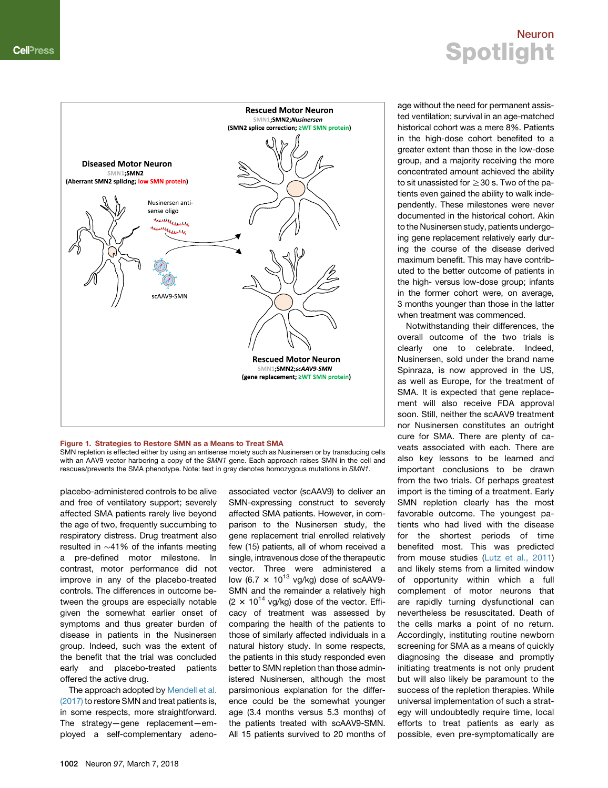### Neuron Spotlight

<span id="page-1-0"></span>

Figure 1. Strategies to Restore SMN as a Means to Treat SMA SMN repletion is effected either by using an antisense moiety such as Nusinersen or by transducing cells with an AAV9 vector harboring a copy of the *SMN1* gene. Each approach raises SMN in the cell and rescues/prevents the SMA phenotype. Note: text in gray denotes homozygous mutations in *SMN1*.

placebo-administered controls to be alive and free of ventilatory support; severely affected SMA patients rarely live beyond the age of two, frequently succumbing to respiratory distress. Drug treatment also resulted in  $\sim$ 41% of the infants meeting a pre-defined motor milestone. In contrast, motor performance did not improve in any of the placebo-treated controls. The differences in outcome between the groups are especially notable given the somewhat earlier onset of symptoms and thus greater burden of disease in patients in the Nusinersen group. Indeed, such was the extent of the benefit that the trial was concluded early and placebo-treated patients offered the active drug.

The approach adopted by [Mendell et al.](#page-2-0) [\(2017\)](#page-2-0) to restore SMN and treat patients is, in some respects, more straightforward. The strategy—gene replacement—employed a self-complementary adenoassociated vector (scAAV9) to deliver an SMN-expressing construct to severely affected SMA patients. However, in comparison to the Nusinersen study, the gene replacement trial enrolled relatively few (15) patients, all of whom received a single, intravenous dose of the therapeutic vector. Three were administered a low (6.7  $\times$  10<sup>13</sup> vg/kg) dose of scAAV9-SMN and the remainder a relatively high  $(2 \times 10^{14} \text{ vg/kg})$  dose of the vector. Efficacy of treatment was assessed by comparing the health of the patients to those of similarly affected individuals in a natural history study. In some respects, the patients in this study responded even better to SMN repletion than those administered Nusinersen, although the most parsimonious explanation for the difference could be the somewhat younger age (3.4 months versus 5.3 months) of the patients treated with scAAV9-SMN. All 15 patients survived to 20 months of age without the need for permanent assisted ventilation; survival in an age-matched historical cohort was a mere 8%. Patients in the high-dose cohort benefited to a greater extent than those in the low-dose group, and a majority receiving the more concentrated amount achieved the ability to sit unassisted for  $\geq$  30 s. Two of the patients even gained the ability to walk independently. These milestones were never documented in the historical cohort. Akin to the Nusinersen study, patients undergoing gene replacement relatively early during the course of the disease derived maximum benefit. This may have contributed to the better outcome of patients in the high- versus low-dose group; infants in the former cohort were, on average, 3 months younger than those in the latter when treatment was commenced.

Notwithstanding their differences, the overall outcome of the two trials is clearly one to celebrate. Indeed, Nusinersen, sold under the brand name Spinraza, is now approved in the US, as well as Europe, for the treatment of SMA. It is expected that gene replacement will also receive FDA approval soon. Still, neither the scAAV9 treatment nor Nusinersen constitutes an outright cure for SMA. There are plenty of caveats associated with each. There are also key lessons to be learned and important conclusions to be drawn from the two trials. Of perhaps greatest import is the timing of a treatment. Early SMN repletion clearly has the most favorable outcome. The youngest patients who had lived with the disease for the shortest periods of time benefited most. This was predicted from mouse studies ([Lutz et al., 2011\)](#page-2-7) and likely stems from a limited window of opportunity within which a full complement of motor neurons that are rapidly turning dysfunctional can nevertheless be resuscitated. Death of the cells marks a point of no return. Accordingly, instituting routine newborn screening for SMA as a means of quickly diagnosing the disease and promptly initiating treatments is not only prudent but will also likely be paramount to the success of the repletion therapies. While universal implementation of such a strategy will undoubtedly require time, local efforts to treat patients as early as possible, even pre-symptomatically are